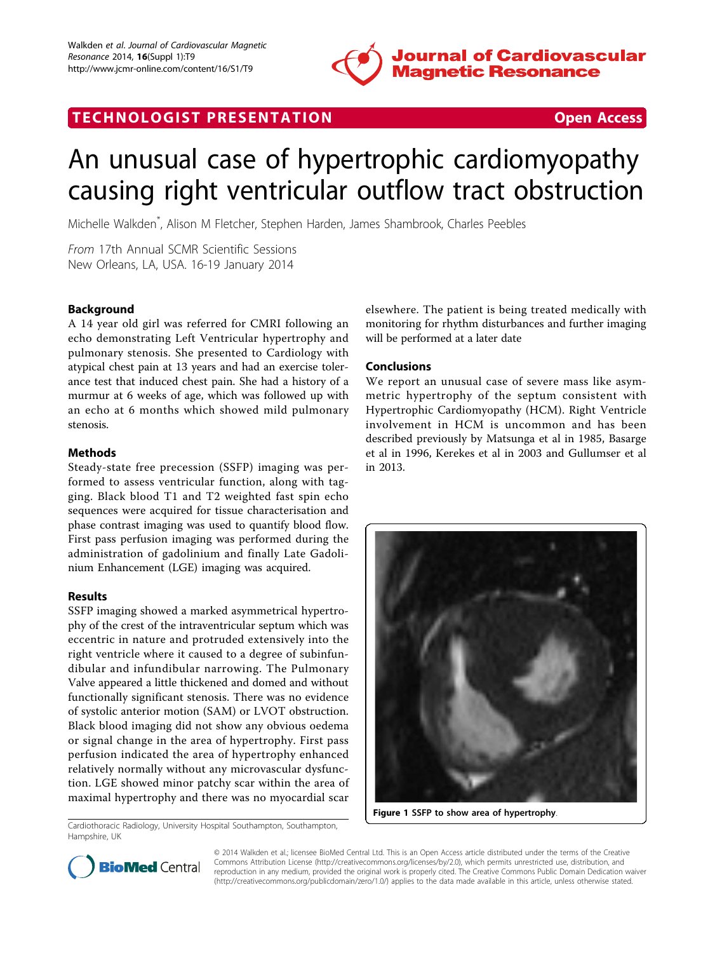

## TECHNOLOGIST PRESENTATION CONTROLLER TECHNOLOGIST PRESENTATION

# An unusual case of hypertrophic cardiomyopathy causing right ventricular outflow tract obstruction

Michelle Walkden\* , Alison M Fletcher, Stephen Harden, James Shambrook, Charles Peebles

From 17th Annual SCMR Scientific Sessions New Orleans, LA, USA. 16-19 January 2014

#### Background

A 14 year old girl was referred for CMRI following an echo demonstrating Left Ventricular hypertrophy and pulmonary stenosis. She presented to Cardiology with atypical chest pain at 13 years and had an exercise tolerance test that induced chest pain. She had a history of a murmur at 6 weeks of age, which was followed up with an echo at 6 months which showed mild pulmonary stenosis.

#### Methods

Steady-state free precession (SSFP) imaging was performed to assess ventricular function, along with tagging. Black blood T1 and T2 weighted fast spin echo sequences were acquired for tissue characterisation and phase contrast imaging was used to quantify blood flow. First pass perfusion imaging was performed during the administration of gadolinium and finally Late Gadolinium Enhancement (LGE) imaging was acquired.

#### Results

SSFP imaging showed a marked asymmetrical hypertrophy of the crest of the intraventricular septum which was eccentric in nature and protruded extensively into the right ventricle where it caused to a degree of subinfundibular and infundibular narrowing. The Pulmonary Valve appeared a little thickened and domed and without functionally significant stenosis. There was no evidence of systolic anterior motion (SAM) or LVOT obstruction. Black blood imaging did not show any obvious oedema or signal change in the area of hypertrophy. First pass perfusion indicated the area of hypertrophy enhanced relatively normally without any microvascular dysfunction. LGE showed minor patchy scar within the area of maximal hypertrophy and there was no myocardial scar

Cardiothoracic Radiology, University Hospital Southampton, Southampton, Hampshire, UK

elsewhere. The patient is being treated medically with monitoring for rhythm disturbances and further imaging will be performed at a later date

#### Conclusions

We report an unusual case of severe mass like asymmetric hypertrophy of the septum consistent with Hypertrophic Cardiomyopathy (HCM). Right Ventricle involvement in HCM is uncommon and has been described previously by Matsunga et al in 1985, Basarge et al in 1996, Kerekes et al in 2003 and Gullumser et al in 2013.



Figure 1 SSFP to show area of hypertrophy.



© 2014 Walkden et al.; licensee BioMed Central Ltd. This is an Open Access article distributed under the terms of the Creative Commons Attribution License [\(http://creativecommons.org/licenses/by/2.0](http://creativecommons.org/licenses/by/2.0)), which permits unrestricted use, distribution, and reproduction in any medium, provided the original work is properly cited. The Creative Commons Public Domain Dedication waiver [\(http://creativecommons.org/publicdomain/zero/1.0/](http://creativecommons.org/publicdomain/zero/1.0/)) applies to the data made available in this article, unless otherwise stated.